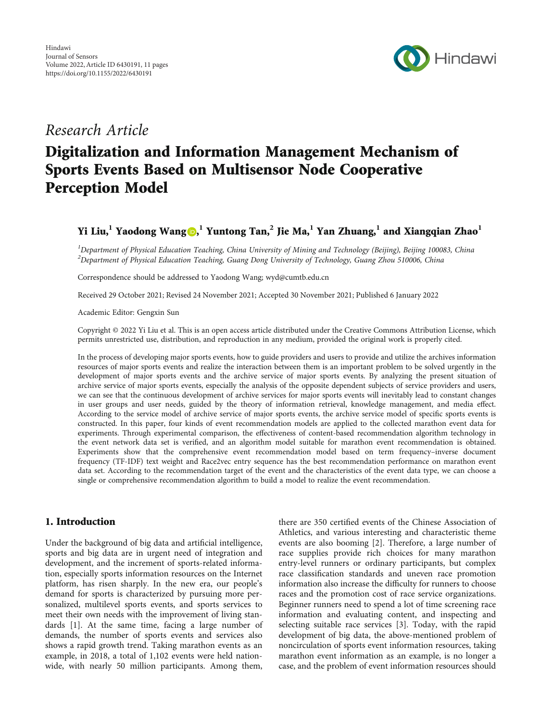

## Research Article

# Digitalization and Information Management Mechanism of Sports Events Based on Multisensor Node Cooperative Perception Model

### Yi Liu,**<sup>1</sup>** Yaodong Wang [,](https://orcid.org/0000-0002-8666-1701) **<sup>1</sup>** Yuntong Tan,**<sup>2</sup>** Jie Ma,**<sup>1</sup>** Yan Zhuang,**<sup>1</sup>** and Xiangqian Zhao**<sup>1</sup>**

<sup>1</sup>Department of Physical Education Teaching, China University of Mining and Technology (Beijing), Beijing 100083, China  $^2$ Department of Physical Education Teaching, Guang Dong University of Technology, Guang Zhou 510006, China

Correspondence should be addressed to Yaodong Wang; wyd@cumtb.edu.cn

Received 29 October 2021; Revised 24 November 2021; Accepted 30 November 2021; Published 6 January 2022

Academic Editor: Gengxin Sun

Copyright © 2022 Yi Liu et al. This is an open access article distributed under the [Creative Commons Attribution License,](https://creativecommons.org/licenses/by/4.0/) which permits unrestricted use, distribution, and reproduction in any medium, provided the original work is properly cited.

In the process of developing major sports events, how to guide providers and users to provide and utilize the archives information resources of major sports events and realize the interaction between them is an important problem to be solved urgently in the development of major sports events and the archive service of major sports events. By analyzing the present situation of archive service of major sports events, especially the analysis of the opposite dependent subjects of service providers and users, we can see that the continuous development of archive services for major sports events will inevitably lead to constant changes in user groups and user needs, guided by the theory of information retrieval, knowledge management, and media effect. According to the service model of archive service of major sports events, the archive service model of specific sports events is constructed. In this paper, four kinds of event recommendation models are applied to the collected marathon event data for experiments. Through experimental comparison, the effectiveness of content-based recommendation algorithm technology in the event network data set is verified, and an algorithm model suitable for marathon event recommendation is obtained. Experiments show that the comprehensive event recommendation model based on term frequency–inverse document frequency (TF-IDF) text weight and Race2vec entry sequence has the best recommendation performance on marathon event data set. According to the recommendation target of the event and the characteristics of the event data type, we can choose a single or comprehensive recommendation algorithm to build a model to realize the event recommendation.

#### 1. Introduction

Under the background of big data and artificial intelligence, sports and big data are in urgent need of integration and development, and the increment of sports-related information, especially sports information resources on the Internet platform, has risen sharply. In the new era, our people's demand for sports is characterized by pursuing more personalized, multilevel sports events, and sports services to meet their own needs with the improvement of living standards [\[1\]](#page-9-0). At the same time, facing a large number of demands, the number of sports events and services also shows a rapid growth trend. Taking marathon events as an example, in 2018, a total of 1,102 events were held nationwide, with nearly 50 million participants. Among them,

there are 350 certified events of the Chinese Association of Athletics, and various interesting and characteristic theme events are also booming [\[2\]](#page-9-0). Therefore, a large number of race supplies provide rich choices for many marathon entry-level runners or ordinary participants, but complex race classification standards and uneven race promotion information also increase the difficulty for runners to choose races and the promotion cost of race service organizations. Beginner runners need to spend a lot of time screening race information and evaluating content, and inspecting and selecting suitable race services [[3](#page-9-0)]. Today, with the rapid development of big data, the above-mentioned problem of noncirculation of sports event information resources, taking marathon event information as an example, is no longer a case, and the problem of event information resources should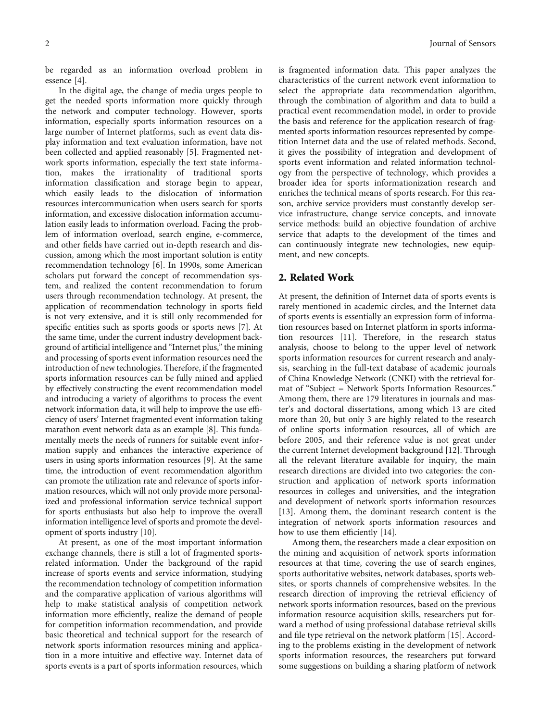be regarded as an information overload problem in essence [[4\]](#page-9-0).

In the digital age, the change of media urges people to get the needed sports information more quickly through the network and computer technology. However, sports information, especially sports information resources on a large number of Internet platforms, such as event data display information and text evaluation information, have not been collected and applied reasonably [\[5\]](#page-9-0). Fragmented network sports information, especially the text state information, makes the irrationality of traditional sports information classification and storage begin to appear, which easily leads to the dislocation of information resources intercommunication when users search for sports information, and excessive dislocation information accumulation easily leads to information overload. Facing the problem of information overload, search engine, e-commerce, and other fields have carried out in-depth research and discussion, among which the most important solution is entity recommendation technology [[6](#page-9-0)]. In 1990s, some American scholars put forward the concept of recommendation system, and realized the content recommendation to forum users through recommendation technology. At present, the application of recommendation technology in sports field is not very extensive, and it is still only recommended for specific entities such as sports goods or sports news [\[7](#page-9-0)]. At the same time, under the current industry development background of artificial intelligence and "Internet plus," the mining and processing of sports event information resources need the introduction of new technologies. Therefore, if the fragmented sports information resources can be fully mined and applied by effectively constructing the event recommendation model and introducing a variety of algorithms to process the event network information data, it will help to improve the use efficiency of users' Internet fragmented event information taking marathon event network data as an example [[8](#page-9-0)]. This fundamentally meets the needs of runners for suitable event information supply and enhances the interactive experience of users in using sports information resources [\[9\]](#page-9-0). At the same time, the introduction of event recommendation algorithm can promote the utilization rate and relevance of sports information resources, which will not only provide more personalized and professional information service technical support for sports enthusiasts but also help to improve the overall information intelligence level of sports and promote the development of sports industry [[10](#page-9-0)].

At present, as one of the most important information exchange channels, there is still a lot of fragmented sportsrelated information. Under the background of the rapid increase of sports events and service information, studying the recommendation technology of competition information and the comparative application of various algorithms will help to make statistical analysis of competition network information more efficiently, realize the demand of people for competition information recommendation, and provide basic theoretical and technical support for the research of network sports information resources mining and application in a more intuitive and effective way. Internet data of sports events is a part of sports information resources, which

is fragmented information data. This paper analyzes the characteristics of the current network event information to select the appropriate data recommendation algorithm, through the combination of algorithm and data to build a practical event recommendation model, in order to provide the basis and reference for the application research of fragmented sports information resources represented by competition Internet data and the use of related methods. Second, it gives the possibility of integration and development of sports event information and related information technology from the perspective of technology, which provides a broader idea for sports informationization research and enriches the technical means of sports research. For this reason, archive service providers must constantly develop service infrastructure, change service concepts, and innovate service methods: build an objective foundation of archive service that adapts to the development of the times and can continuously integrate new technologies, new equipment, and new concepts.

#### 2. Related Work

At present, the definition of Internet data of sports events is rarely mentioned in academic circles, and the Internet data of sports events is essentially an expression form of information resources based on Internet platform in sports information resources [\[11\]](#page-9-0). Therefore, in the research status analysis, choose to belong to the upper level of network sports information resources for current research and analysis, searching in the full-text database of academic journals of China Knowledge Network (CNKI) with the retrieval format of "Subject = Network Sports Information Resources." Among them, there are 179 literatures in journals and master's and doctoral dissertations, among which 13 are cited more than 20, but only 3 are highly related to the research of online sports information resources, all of which are before 2005, and their reference value is not great under the current Internet development background [\[12\]](#page-9-0). Through all the relevant literature available for inquiry, the main research directions are divided into two categories: the construction and application of network sports information resources in colleges and universities, and the integration and development of network sports information resources [\[13\]](#page-9-0). Among them, the dominant research content is the integration of network sports information resources and how to use them efficiently [[14](#page-9-0)].

Among them, the researchers made a clear exposition on the mining and acquisition of network sports information resources at that time, covering the use of search engines, sports authoritative websites, network databases, sports websites, or sports channels of comprehensive websites. In the research direction of improving the retrieval efficiency of network sports information resources, based on the previous information resource acquisition skills, researchers put forward a method of using professional database retrieval skills and file type retrieval on the network platform [[15](#page-10-0)]. According to the problems existing in the development of network sports information resources, the researchers put forward some suggestions on building a sharing platform of network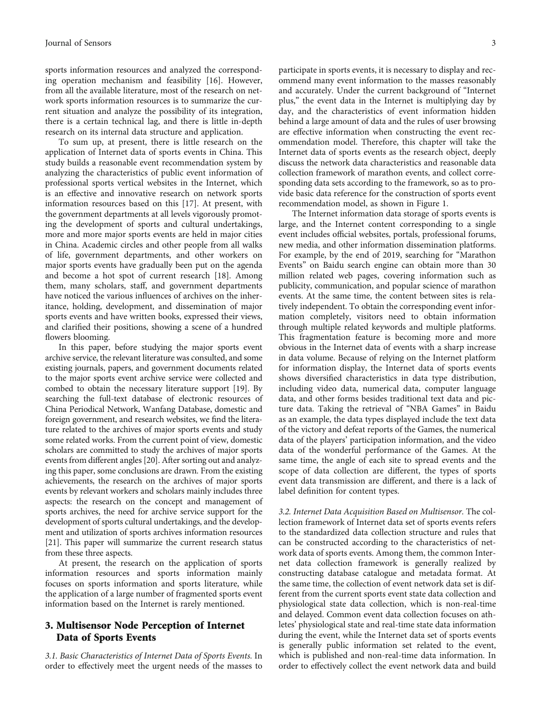sports information resources and analyzed the corresponding operation mechanism and feasibility [[16\]](#page-10-0). However, from all the available literature, most of the research on network sports information resources is to summarize the current situation and analyze the possibility of its integration, there is a certain technical lag, and there is little in-depth research on its internal data structure and application.

To sum up, at present, there is little research on the application of Internet data of sports events in China. This study builds a reasonable event recommendation system by analyzing the characteristics of public event information of professional sports vertical websites in the Internet, which is an effective and innovative research on network sports information resources based on this [\[17\]](#page-10-0). At present, with the government departments at all levels vigorously promoting the development of sports and cultural undertakings, more and more major sports events are held in major cities in China. Academic circles and other people from all walks of life, government departments, and other workers on major sports events have gradually been put on the agenda and become a hot spot of current research [\[18\]](#page-10-0). Among them, many scholars, staff, and government departments have noticed the various influences of archives on the inheritance, holding, development, and dissemination of major sports events and have written books, expressed their views, and clarified their positions, showing a scene of a hundred flowers blooming.

In this paper, before studying the major sports event archive service, the relevant literature was consulted, and some existing journals, papers, and government documents related to the major sports event archive service were collected and combed to obtain the necessary literature support [[19](#page-10-0)]. By searching the full-text database of electronic resources of China Periodical Network, Wanfang Database, domestic and foreign government, and research websites, we find the literature related to the archives of major sports events and study some related works. From the current point of view, domestic scholars are committed to study the archives of major sports events from different angles [\[20\]](#page-10-0). After sorting out and analyzing this paper, some conclusions are drawn. From the existing achievements, the research on the archives of major sports events by relevant workers and scholars mainly includes three aspects: the research on the concept and management of sports archives, the need for archive service support for the development of sports cultural undertakings, and the development and utilization of sports archives information resources [\[21\]](#page-10-0). This paper will summarize the current research status from these three aspects.

At present, the research on the application of sports information resources and sports information mainly focuses on sports information and sports literature, while the application of a large number of fragmented sports event information based on the Internet is rarely mentioned.

#### 3. Multisensor Node Perception of Internet Data of Sports Events

3.1. Basic Characteristics of Internet Data of Sports Events. In order to effectively meet the urgent needs of the masses to

participate in sports events, it is necessary to display and recommend many event information to the masses reasonably and accurately. Under the current background of "Internet plus," the event data in the Internet is multiplying day by day, and the characteristics of event information hidden behind a large amount of data and the rules of user browsing are effective information when constructing the event recommendation model. Therefore, this chapter will take the Internet data of sports events as the research object, deeply discuss the network data characteristics and reasonable data collection framework of marathon events, and collect corresponding data sets according to the framework, so as to provide basic data reference for the construction of sports event recommendation model, as shown in Figure [1](#page-3-0).

The Internet information data storage of sports events is large, and the Internet content corresponding to a single event includes official websites, portals, professional forums, new media, and other information dissemination platforms. For example, by the end of 2019, searching for "Marathon Events" on Baidu search engine can obtain more than 30 million related web pages, covering information such as publicity, communication, and popular science of marathon events. At the same time, the content between sites is relatively independent. To obtain the corresponding event information completely, visitors need to obtain information through multiple related keywords and multiple platforms. This fragmentation feature is becoming more and more obvious in the Internet data of events with a sharp increase in data volume. Because of relying on the Internet platform for information display, the Internet data of sports events shows diversified characteristics in data type distribution, including video data, numerical data, computer language data, and other forms besides traditional text data and picture data. Taking the retrieval of "NBA Games" in Baidu as an example, the data types displayed include the text data of the victory and defeat reports of the Games, the numerical data of the players' participation information, and the video data of the wonderful performance of the Games. At the same time, the angle of each site to spread events and the scope of data collection are different, the types of sports event data transmission are different, and there is a lack of label definition for content types.

3.2. Internet Data Acquisition Based on Multisensor. The collection framework of Internet data set of sports events refers to the standardized data collection structure and rules that can be constructed according to the characteristics of network data of sports events. Among them, the common Internet data collection framework is generally realized by constructing database catalogue and metadata format. At the same time, the collection of event network data set is different from the current sports event state data collection and physiological state data collection, which is non-real-time and delayed. Common event data collection focuses on athletes' physiological state and real-time state data information during the event, while the Internet data set of sports events is generally public information set related to the event, which is published and non-real-time data information. In order to effectively collect the event network data and build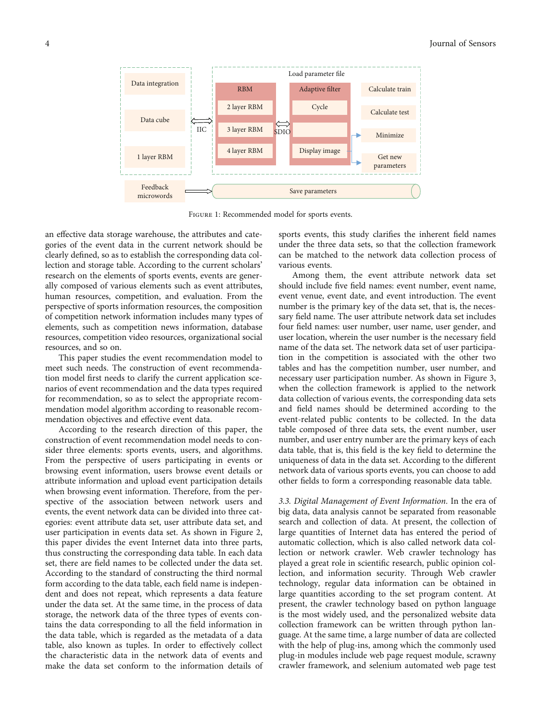<span id="page-3-0"></span>

Figure 1: Recommended model for sports events.

an effective data storage warehouse, the attributes and categories of the event data in the current network should be clearly defined, so as to establish the corresponding data collection and storage table. According to the current scholars' research on the elements of sports events, events are generally composed of various elements such as event attributes, human resources, competition, and evaluation. From the perspective of sports information resources, the composition of competition network information includes many types of elements, such as competition news information, database resources, competition video resources, organizational social resources, and so on.

This paper studies the event recommendation model to meet such needs. The construction of event recommendation model first needs to clarify the current application scenarios of event recommendation and the data types required for recommendation, so as to select the appropriate recommendation model algorithm according to reasonable recommendation objectives and effective event data.

According to the research direction of this paper, the construction of event recommendation model needs to consider three elements: sports events, users, and algorithms. From the perspective of users participating in events or browsing event information, users browse event details or attribute information and upload event participation details when browsing event information. Therefore, from the perspective of the association between network users and events, the event network data can be divided into three categories: event attribute data set, user attribute data set, and user participation in events data set. As shown in Figure [2,](#page-4-0) this paper divides the event Internet data into three parts, thus constructing the corresponding data table. In each data set, there are field names to be collected under the data set. According to the standard of constructing the third normal form according to the data table, each field name is independent and does not repeat, which represents a data feature under the data set. At the same time, in the process of data storage, the network data of the three types of events contains the data corresponding to all the field information in the data table, which is regarded as the metadata of a data table, also known as tuples. In order to effectively collect the characteristic data in the network data of events and make the data set conform to the information details of sports events, this study clarifies the inherent field names under the three data sets, so that the collection framework can be matched to the network data collection process of various events.

Among them, the event attribute network data set should include five field names: event number, event name, event venue, event date, and event introduction. The event number is the primary key of the data set, that is, the necessary field name. The user attribute network data set includes four field names: user number, user name, user gender, and user location, wherein the user number is the necessary field name of the data set. The network data set of user participation in the competition is associated with the other two tables and has the competition number, user number, and necessary user participation number. As shown in Figure [3,](#page-4-0) when the collection framework is applied to the network data collection of various events, the corresponding data sets and field names should be determined according to the event-related public contents to be collected. In the data table composed of three data sets, the event number, user number, and user entry number are the primary keys of each data table, that is, this field is the key field to determine the uniqueness of data in the data set. According to the different network data of various sports events, you can choose to add other fields to form a corresponding reasonable data table.

3.3. Digital Management of Event Information. In the era of big data, data analysis cannot be separated from reasonable search and collection of data. At present, the collection of large quantities of Internet data has entered the period of automatic collection, which is also called network data collection or network crawler. Web crawler technology has played a great role in scientific research, public opinion collection, and information security. Through Web crawler technology, regular data information can be obtained in large quantities according to the set program content. At present, the crawler technology based on python language is the most widely used, and the personalized website data collection framework can be written through python language. At the same time, a large number of data are collected with the help of plug-ins, among which the commonly used plug-in modules include web page request module, scrawny crawler framework, and selenium automated web page test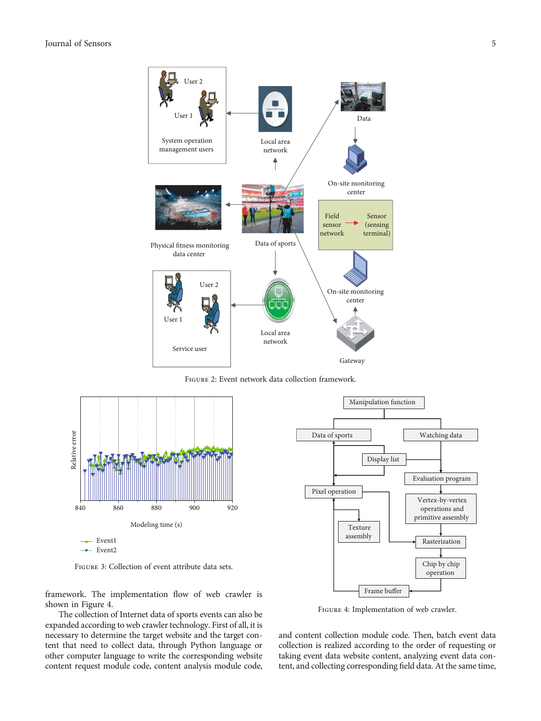<span id="page-4-0"></span>

Figure 2: Event network data collection framework.



Figure 3: Collection of event attribute data sets.

framework. The implementation flow of web crawler is shown in Figure 4.

The collection of Internet data of sports events can also be expanded according to web crawler technology. First of all, it is necessary to determine the target website and the target content that need to collect data, through Python language or other computer language to write the corresponding website content request module code, content analysis module code,



FIGURE 4: Implementation of web crawler.

and content collection module code. Then, batch event data collection is realized according to the order of requesting or taking event data website content, analyzing event data content, and collecting corresponding field data. At the same time,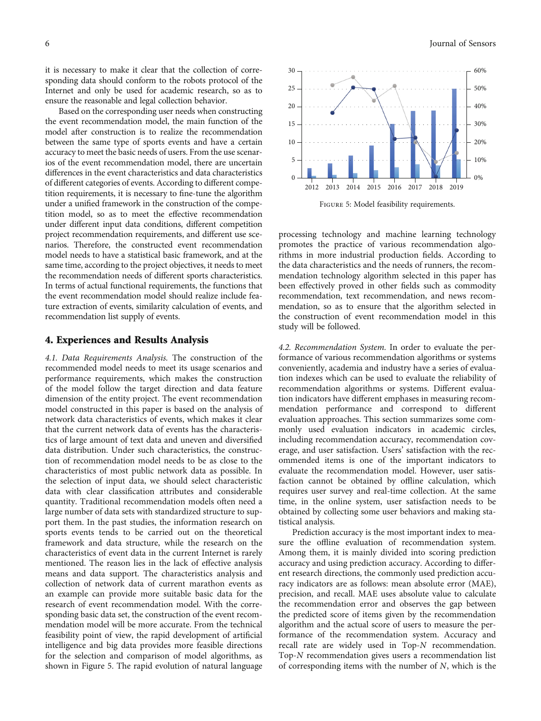it is necessary to make it clear that the collection of corresponding data should conform to the robots protocol of the Internet and only be used for academic research, so as to ensure the reasonable and legal collection behavior.

Based on the corresponding user needs when constructing the event recommendation model, the main function of the model after construction is to realize the recommendation between the same type of sports events and have a certain accuracy to meet the basic needs of users. From the use scenarios of the event recommendation model, there are uncertain differences in the event characteristics and data characteristics of different categories of events. According to different competition requirements, it is necessary to fine-tune the algorithm under a unified framework in the construction of the competition model, so as to meet the effective recommendation under different input data conditions, different competition project recommendation requirements, and different use scenarios. Therefore, the constructed event recommendation model needs to have a statistical basic framework, and at the same time, according to the project objectives, it needs to meet the recommendation needs of different sports characteristics. In terms of actual functional requirements, the functions that the event recommendation model should realize include feature extraction of events, similarity calculation of events, and recommendation list supply of events.

#### 4. Experiences and Results Analysis

4.1. Data Requirements Analysis. The construction of the recommended model needs to meet its usage scenarios and performance requirements, which makes the construction of the model follow the target direction and data feature dimension of the entity project. The event recommendation model constructed in this paper is based on the analysis of network data characteristics of events, which makes it clear that the current network data of events has the characteristics of large amount of text data and uneven and diversified data distribution. Under such characteristics, the construction of recommendation model needs to be as close to the characteristics of most public network data as possible. In the selection of input data, we should select characteristic data with clear classification attributes and considerable quantity. Traditional recommendation models often need a large number of data sets with standardized structure to support them. In the past studies, the information research on sports events tends to be carried out on the theoretical framework and data structure, while the research on the characteristics of event data in the current Internet is rarely mentioned. The reason lies in the lack of effective analysis means and data support. The characteristics analysis and collection of network data of current marathon events as an example can provide more suitable basic data for the research of event recommendation model. With the corresponding basic data set, the construction of the event recommendation model will be more accurate. From the technical feasibility point of view, the rapid development of artificial intelligence and big data provides more feasible directions for the selection and comparison of model algorithms, as shown in Figure 5. The rapid evolution of natural language



Figure 5: Model feasibility requirements.

processing technology and machine learning technology promotes the practice of various recommendation algorithms in more industrial production fields. According to the data characteristics and the needs of runners, the recommendation technology algorithm selected in this paper has been effectively proved in other fields such as commodity recommendation, text recommendation, and news recommendation, so as to ensure that the algorithm selected in the construction of event recommendation model in this study will be followed.

4.2. Recommendation System. In order to evaluate the performance of various recommendation algorithms or systems conveniently, academia and industry have a series of evaluation indexes which can be used to evaluate the reliability of recommendation algorithms or systems. Different evaluation indicators have different emphases in measuring recommendation performance and correspond to different evaluation approaches. This section summarizes some commonly used evaluation indicators in academic circles, including recommendation accuracy, recommendation coverage, and user satisfaction. Users' satisfaction with the recommended items is one of the important indicators to evaluate the recommendation model. However, user satisfaction cannot be obtained by offline calculation, which requires user survey and real-time collection. At the same time, in the online system, user satisfaction needs to be obtained by collecting some user behaviors and making statistical analysis.

Prediction accuracy is the most important index to measure the offline evaluation of recommendation system. Among them, it is mainly divided into scoring prediction accuracy and using prediction accuracy. According to different research directions, the commonly used prediction accuracy indicators are as follows: mean absolute error (MAE), precision, and recall. MAE uses absolute value to calculate the recommendation error and observes the gap between the predicted score of items given by the recommendation algorithm and the actual score of users to measure the performance of the recommendation system. Accuracy and recall rate are widely used in Top-*N* recommendation. Top-*N* recommendation gives users a recommendation list of corresponding items with the number of *N*, which is the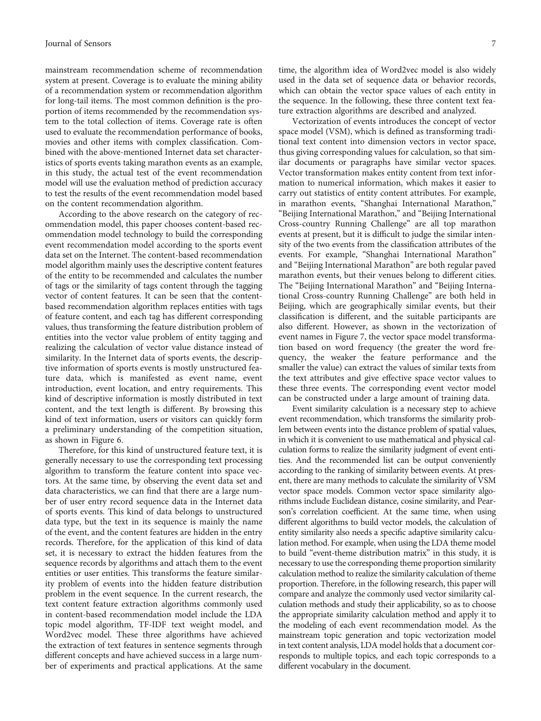mainstream recommendation scheme of recommendation system at present. Coverage is to evaluate the mining ability of a recommendation system or recommendation algorithm for long-tail items. The most common definition is the proportion of items recommended by the recommendation system to the total collection of items. Coverage rate is often used to evaluate the recommendation performance of books, movies and other items with complex classification. Combined with the above-mentioned Internet data set characteristics of sports events taking marathon events as an example, in this study, the actual test of the event recommendation model will use the evaluation method of prediction accuracy to test the results of the event recommendation model based on the content recommendation algorithm.

According to the above research on the category of recommendation model, this paper chooses content-based recommendation model technology to build the corresponding event recommendation model according to the sports event data set on the Internet. The content-based recommendation model algorithm mainly uses the descriptive content features of the entity to be recommended and calculates the number of tags or the similarity of tags content through the tagging vector of content features. It can be seen that the contentbased recommendation algorithm replaces entities with tags of feature content, and each tag has different corresponding values, thus transforming the feature distribution problem of entities into the vector value problem of entity tagging and realizing the calculation of vector value distance instead of similarity. In the Internet data of sports events, the descriptive information of sports events is mostly unstructured feature data, which is manifested as event name, event introduction, event location, and entry requirements. This kind of descriptive information is mostly distributed in text content, and the text length is different. By browsing this kind of text information, users or visitors can quickly form a preliminary understanding of the competition situation, as shown in Figure [6](#page-7-0).

Therefore, for this kind of unstructured feature text, it is generally necessary to use the corresponding text processing algorithm to transform the feature content into space vectors. At the same time, by observing the event data set and data characteristics, we can find that there are a large number of user entry record sequence data in the Internet data of sports events. This kind of data belongs to unstructured data type, but the text in its sequence is mainly the name of the event, and the content features are hidden in the entry records. Therefore, for the application of this kind of data set, it is necessary to extract the hidden features from the sequence records by algorithms and attach them to the event entities or user entities. This transforms the feature similarity problem of events into the hidden feature distribution problem in the event sequence. In the current research, the text content feature extraction algorithms commonly used in content-based recommendation model include the LDA topic model algorithm, TF-IDF text weight model, and Word2vec model. These three algorithms have achieved the extraction of text features in sentence segments through different concepts and have achieved success in a large number of experiments and practical applications. At the same

time, the algorithm idea of Word2vec model is also widely used in the data set of sequence data or behavior records, which can obtain the vector space values of each entity in the sequence. In the following, these three content text feature extraction algorithms are described and analyzed.

Vectorization of events introduces the concept of vector space model (VSM), which is defined as transforming traditional text content into dimension vectors in vector space, thus giving corresponding values for calculation, so that similar documents or paragraphs have similar vector spaces. Vector transformation makes entity content from text information to numerical information, which makes it easier to carry out statistics of entity content attributes. For example, in marathon events, "Shanghai International Marathon," "Beijing International Marathon," and "Beijing International Cross-country Running Challenge" are all top marathon events at present, but it is difficult to judge the similar intensity of the two events from the classification attributes of the events. For example, "Shanghai International Marathon" and "Beijing International Marathon" are both regular paved marathon events, but their venues belong to different cities. The "Beijing International Marathon" and "Beijing International Cross-country Running Challenge" are both held in Beijing, which are geographically similar events, but their classification is different, and the suitable participants are also different. However, as shown in the vectorization of event names in Figure [7](#page-7-0), the vector space model transformation based on word frequency (the greater the word frequency, the weaker the feature performance and the smaller the value) can extract the values of similar texts from the text attributes and give effective space vector values to these three events. The corresponding event vector model can be constructed under a large amount of training data.

Event similarity calculation is a necessary step to achieve event recommendation, which transforms the similarity problem between events into the distance problem of spatial values, in which it is convenient to use mathematical and physical calculation forms to realize the similarity judgment of event entities. And the recommended list can be output conveniently according to the ranking of similarity between events. At present, there are many methods to calculate the similarity of VSM vector space models. Common vector space similarity algorithms include Euclidean distance, cosine similarity, and Pearson's correlation coefficient. At the same time, when using different algorithms to build vector models, the calculation of entity similarity also needs a specific adaptive similarity calculation method. For example, when using the LDA theme model to build "event-theme distribution matrix" in this study, it is necessary to use the corresponding theme proportion similarity calculation method to realize the similarity calculation of theme proportion. Therefore, in the following research, this paper will compare and analyze the commonly used vector similarity calculation methods and study their applicability, so as to choose the appropriate similarity calculation method and apply it to the modeling of each event recommendation model. As the mainstream topic generation and topic vectorization model in text content analysis, LDA model holds that a document corresponds to multiple topics, and each topic corresponds to a different vocabulary in the document.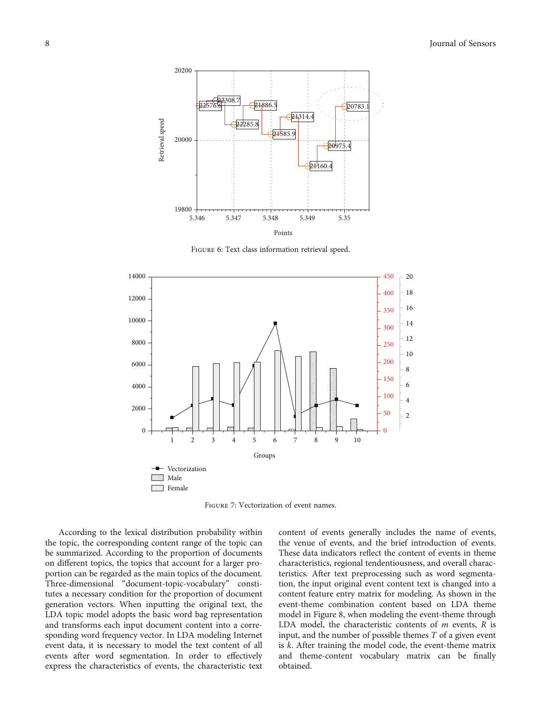<span id="page-7-0"></span>

Figure 6: Text class information retrieval speed.



Figure 7: Vectorization of event names.

According to the lexical distribution probability within the topic, the corresponding content range of the topic can be summarized. According to the proportion of documents on different topics, the topics that account for a larger proportion can be regarded as the main topics of the document. Three-dimensional "document-topic-vocabulary" constitutes a necessary condition for the proportion of document generation vectors. When inputting the original text, the LDA topic model adopts the basic word bag representation and transforms each input document content into a corresponding word frequency vector. In LDA modeling Internet event data, it is necessary to model the text content of all events after word segmentation. In order to effectively express the characteristics of events, the characteristic text

content of events generally includes the name of events, the venue of events, and the brief introduction of events. These data indicators reflect the content of events in theme characteristics, regional tendentiousness, and overall characteristics. After text preprocessing such as word segmentation, the input original event content text is changed into a content feature entry matrix for modeling. As shown in the event-theme combination content based on LDA theme model in Figure [8](#page-8-0), when modeling the event-theme through LDA model, the characteristic contents of *m* events, *R* is input, and the number of possible themes *T* of a given event is *k*. After training the model code, the event-theme matrix and theme-content vocabulary matrix can be finally obtained.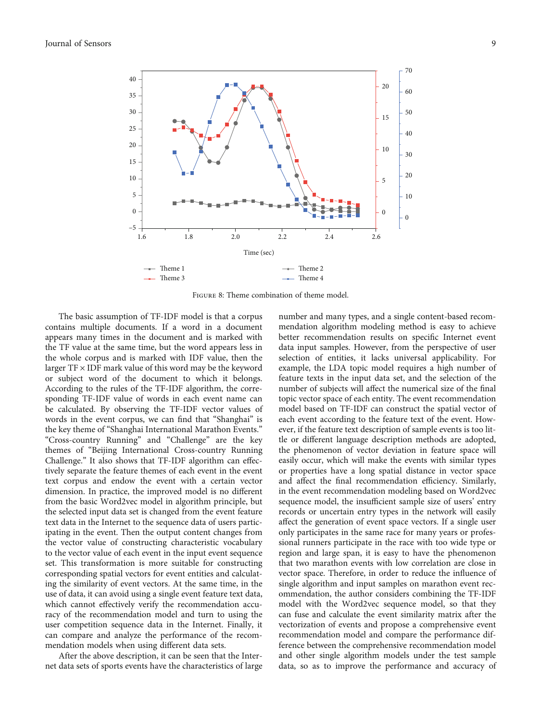<span id="page-8-0"></span>

Figure 8: Theme combination of theme model.

The basic assumption of TF-IDF model is that a corpus contains multiple documents. If a word in a document appears many times in the document and is marked with the TF value at the same time, but the word appears less in the whole corpus and is marked with IDF value, then the larger TF × IDF mark value of this word may be the keyword or subject word of the document to which it belongs. According to the rules of the TF-IDF algorithm, the corresponding TF-IDF value of words in each event name can be calculated. By observing the TF-IDF vector values of words in the event corpus, we can find that "Shanghai" is the key theme of "Shanghai International Marathon Events." "Cross-country Running" and "Challenge" are the key themes of "Beijing International Cross-country Running Challenge." It also shows that TF-IDF algorithm can effectively separate the feature themes of each event in the event text corpus and endow the event with a certain vector dimension. In practice, the improved model is no different from the basic Word2vec model in algorithm principle, but the selected input data set is changed from the event feature text data in the Internet to the sequence data of users participating in the event. Then the output content changes from the vector value of constructing characteristic vocabulary to the vector value of each event in the input event sequence set. This transformation is more suitable for constructing corresponding spatial vectors for event entities and calculating the similarity of event vectors. At the same time, in the use of data, it can avoid using a single event feature text data, which cannot effectively verify the recommendation accuracy of the recommendation model and turn to using the user competition sequence data in the Internet. Finally, it can compare and analyze the performance of the recommendation models when using different data sets.

After the above description, it can be seen that the Internet data sets of sports events have the characteristics of large number and many types, and a single content-based recommendation algorithm modeling method is easy to achieve better recommendation results on specific Internet event data input samples. However, from the perspective of user selection of entities, it lacks universal applicability. For example, the LDA topic model requires a high number of feature texts in the input data set, and the selection of the number of subjects will affect the numerical size of the final topic vector space of each entity. The event recommendation model based on TF-IDF can construct the spatial vector of each event according to the feature text of the event. However, if the feature text description of sample events is too little or different language description methods are adopted, the phenomenon of vector deviation in feature space will easily occur, which will make the events with similar types or properties have a long spatial distance in vector space and affect the final recommendation efficiency. Similarly, in the event recommendation modeling based on Word2vec sequence model, the insufficient sample size of users' entry records or uncertain entry types in the network will easily affect the generation of event space vectors. If a single user only participates in the same race for many years or professional runners participate in the race with too wide type or region and large span, it is easy to have the phenomenon that two marathon events with low correlation are close in vector space. Therefore, in order to reduce the influence of single algorithm and input samples on marathon event recommendation, the author considers combining the TF-IDF model with the Word2vec sequence model, so that they can fuse and calculate the event similarity matrix after the vectorization of events and propose a comprehensive event recommendation model and compare the performance difference between the comprehensive recommendation model and other single algorithm models under the test sample data, so as to improve the performance and accuracy of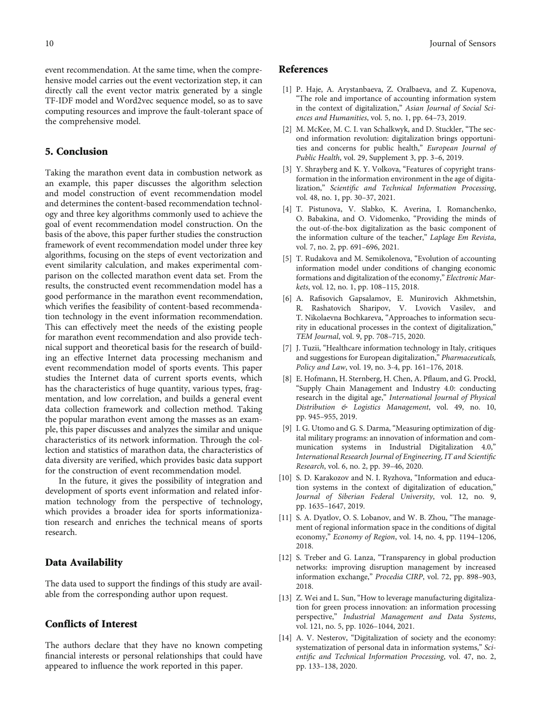<span id="page-9-0"></span>event recommendation. At the same time, when the comprehensive model carries out the event vectorization step, it can directly call the event vector matrix generated by a single TF-IDF model and Word2vec sequence model, so as to save computing resources and improve the fault-tolerant space of the comprehensive model.

#### 5. Conclusion

Taking the marathon event data in combustion network as an example, this paper discusses the algorithm selection and model construction of event recommendation model and determines the content-based recommendation technology and three key algorithms commonly used to achieve the goal of event recommendation model construction. On the basis of the above, this paper further studies the construction framework of event recommendation model under three key algorithms, focusing on the steps of event vectorization and event similarity calculation, and makes experimental comparison on the collected marathon event data set. From the results, the constructed event recommendation model has a good performance in the marathon event recommendation, which verifies the feasibility of content-based recommendation technology in the event information recommendation. This can effectively meet the needs of the existing people for marathon event recommendation and also provide technical support and theoretical basis for the research of building an effective Internet data processing mechanism and event recommendation model of sports events. This paper studies the Internet data of current sports events, which has the characteristics of huge quantity, various types, fragmentation, and low correlation, and builds a general event data collection framework and collection method. Taking the popular marathon event among the masses as an example, this paper discusses and analyzes the similar and unique characteristics of its network information. Through the collection and statistics of marathon data, the characteristics of data diversity are verified, which provides basic data support for the construction of event recommendation model.

In the future, it gives the possibility of integration and development of sports event information and related information technology from the perspective of technology, which provides a broader idea for sports informationization research and enriches the technical means of sports research.

#### Data Availability

The data used to support the findings of this study are available from the corresponding author upon request.

#### Conflicts of Interest

The authors declare that they have no known competing financial interests or personal relationships that could have appeared to influence the work reported in this paper.

#### References

- [1] P. Haje, A. Arystanbaeva, Z. Oralbaeva, and Z. Kupenova, "The role and importance of accounting information system in the context of digitalization," Asian Journal of Social Sciences and Humanities, vol. 5, no. 1, pp. 64–73, 2019.
- [2] M. McKee, M. C. I. van Schalkwyk, and D. Stuckler, "The second information revolution: digitalization brings opportunities and concerns for public health," European Journal of Public Health, vol. 29, Supplement 3, pp. 3–6, 2019.
- [3] Y. Shrayberg and K. Y. Volkova, "Features of copyright transformation in the information environment in the age of digitalization," Scientific and Technical Information Processing, vol. 48, no. 1, pp. 30–37, 2021.
- [4] T. Pistunova, V. Slabko, K. Averina, I. Romanchenko, O. Babakina, and O. Vidomenko, "Providing the minds of the out-of-the-box digitalization as the basic component of the information culture of the teacher," Laplage Em Revista, vol. 7, no. 2, pp. 691–696, 2021.
- [5] T. Rudakova and M. Semikolenova, "Evolution of accounting information model under conditions of changing economic formations and digitalization of the economy," Electronic Markets, vol. 12, no. 1, pp. 108–115, 2018.
- [6] A. Rafisovich Gapsalamov, E. Munirovich Akhmetshin, R. Rashatovich Sharipov, V. Lvovich Vasilev, and T. Nikolaevna Bochkareva, "Approaches to information security in educational processes in the context of digitalization," TEM Journal, vol. 9, pp. 708–715, 2020.
- [7] J. Tuzii, "Healthcare information technology in Italy, critiques and suggestions for European digitalization," Pharmaceuticals, Policy and Law, vol. 19, no. 3-4, pp. 161–176, 2018.
- [8] E. Hofmann, H. Sternberg, H. Chen, A. Pflaum, and G. Prockl, "Supply Chain Management and Industry 4.0: conducting research in the digital age," International Journal of Physical Distribution & Logistics Management, vol. 49, no. 10, pp. 945–955, 2019.
- [9] I. G. Utomo and G. S. Darma, "Measuring optimization of digital military programs: an innovation of information and communication systems in Industrial Digitalization 4.0," International Research Journal of Engineering, IT and Scientific Research, vol. 6, no. 2, pp. 39–46, 2020.
- [10] S. D. Karakozov and N. I. Ryzhova, "Information and education systems in the context of digitalization of education," Journal of Siberian Federal University, vol. 12, no. 9, pp. 1635–1647, 2019.
- [11] S. A. Dyatlov, O. S. Lobanov, and W. B. Zhou, "The management of regional information space in the conditions of digital economy," Economy of Region, vol. 14, no. 4, pp. 1194–1206, 2018.
- [12] S. Treber and G. Lanza, "Transparency in global production networks: improving disruption management by increased information exchange," Procedia CIRP, vol. 72, pp. 898–903, 2018.
- [13] Z. Wei and L. Sun, "How to leverage manufacturing digitalization for green process innovation: an information processing perspective," Industrial Management and Data Systems, vol. 121, no. 5, pp. 1026–1044, 2021.
- [14] A. V. Nesterov, "Digitalization of society and the economy: systematization of personal data in information systems," Scientific and Technical Information Processing, vol. 47, no. 2, pp. 133–138, 2020.